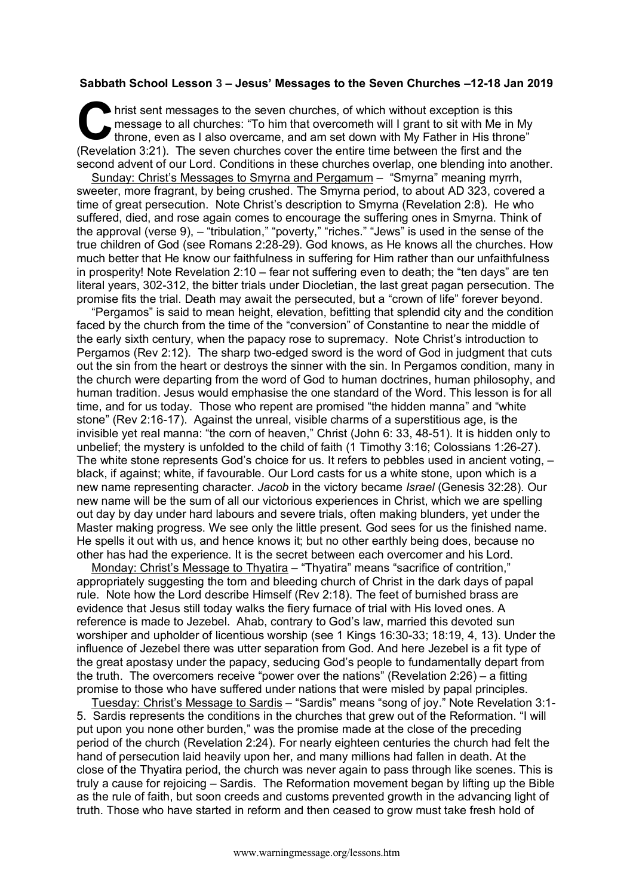## **Sabbath School Lesson 3 – Jesus' Messages to the Seven Churches –12-18 Jan 2019**

hrist sent messages to the seven churches, of which without exception is this message to all churches: "To him that overcometh will I grant to sit with Me in My throne, even as I also overcame, and am set down with My Father in His throne" (Revelation 3:21). The seven churches cover the entire time between the first and the second advent of our Lord. Conditions in these churches overlap, one blending into another. C hris

Sunday: Christ's Messages to Smyrna and Pergamum – "Smyrna" meaning myrrh, sweeter, more fragrant, by being crushed. The Smyrna period, to about AD 323, covered a time of great persecution. Note Christ's description to Smyrna (Revelation 2:8). He who suffered, died, and rose again comes to encourage the suffering ones in Smyrna. Think of the approval (verse 9), – "tribulation," "poverty," "riches." "Jews" is used in the sense of the true children of God (see Romans 2:28-29). God knows, as He knows all the churches. How much better that He know our faithfulness in suffering for Him rather than our unfaithfulness in prosperity! Note Revelation 2:10 – fear not suffering even to death; the "ten days" are ten literal years, 302-312, the bitter trials under Diocletian, the last great pagan persecution. The promise fits the trial. Death may await the persecuted, but a "crown of life" forever beyond.

"Pergamos" is said to mean height, elevation, befitting that splendid city and the condition faced by the church from the time of the "conversion" of Constantine to near the middle of the early sixth century, when the papacy rose to supremacy. Note Christ's introduction to Pergamos (Rev 2:12). The sharp two-edged sword is the word of God in judgment that cuts out the sin from the heart or destroys the sinner with the sin. In Pergamos condition, many in the church were departing from the word of God to human doctrines, human philosophy, and human tradition. Jesus would emphasise the one standard of the Word. This lesson is for all time, and for us today. Those who repent are promised "the hidden manna" and "white stone" (Rev 2:16-17). Against the unreal, visible charms of a superstitious age, is the invisible yet real manna: "the corn of heaven," Christ (John 6: 33, 48-51). It is hidden only to unbelief; the mystery is unfolded to the child of faith (1 Timothy 3:16; Colossians 1:26-27). The white stone represents God's choice for us. It refers to pebbles used in ancient voting, – black, if against; white, if favourable. Our Lord casts for us a white stone, upon which is a new name representing character. *Jacob* in the victory became *Israel* (Genesis 32:28). Our new name will be the sum of all our victorious experiences in Christ, which we are spelling out day by day under hard labours and severe trials, often making blunders, yet under the Master making progress. We see only the little present. God sees for us the finished name. He spells it out with us, and hence knows it; but no other earthly being does, because no other has had the experience. It is the secret between each overcomer and his Lord.

Monday: Christ's Message to Thyatira – "Thyatira" means "sacrifice of contrition," appropriately suggesting the torn and bleeding church of Christ in the dark days of papal rule. Note how the Lord describe Himself (Rev 2:18). The feet of burnished brass are evidence that Jesus still today walks the fiery furnace of trial with His loved ones. A reference is made to Jezebel. Ahab, contrary to God's law, married this devoted sun worshiper and upholder of licentious worship (see 1 Kings 16:30-33; 18:19, 4, 13). Under the influence of Jezebel there was utter separation from God. And here Jezebel is a fit type of the great apostasy under the papacy, seducing God's people to fundamentally depart from the truth. The overcomers receive "power over the nations" (Revelation 2:26) – a fitting promise to those who have suffered under nations that were misled by papal principles.

Tuesday: Christ's Message to Sardis – "Sardis" means "song of joy." Note Revelation 3:1- 5. Sardis represents the conditions in the churches that grew out of the Reformation. "I will put upon you none other burden," was the promise made at the close of the preceding period of the church (Revelation 2:24). For nearly eighteen centuries the church had felt the hand of persecution laid heavily upon her, and many millions had fallen in death. At the close of the Thyatira period, the church was never again to pass through like scenes. This is truly a cause for rejoicing – Sardis. The Reformation movement began by lifting up the Bible as the rule of faith, but soon creeds and customs prevented growth in the advancing light of truth. Those who have started in reform and then ceased to grow must take fresh hold of